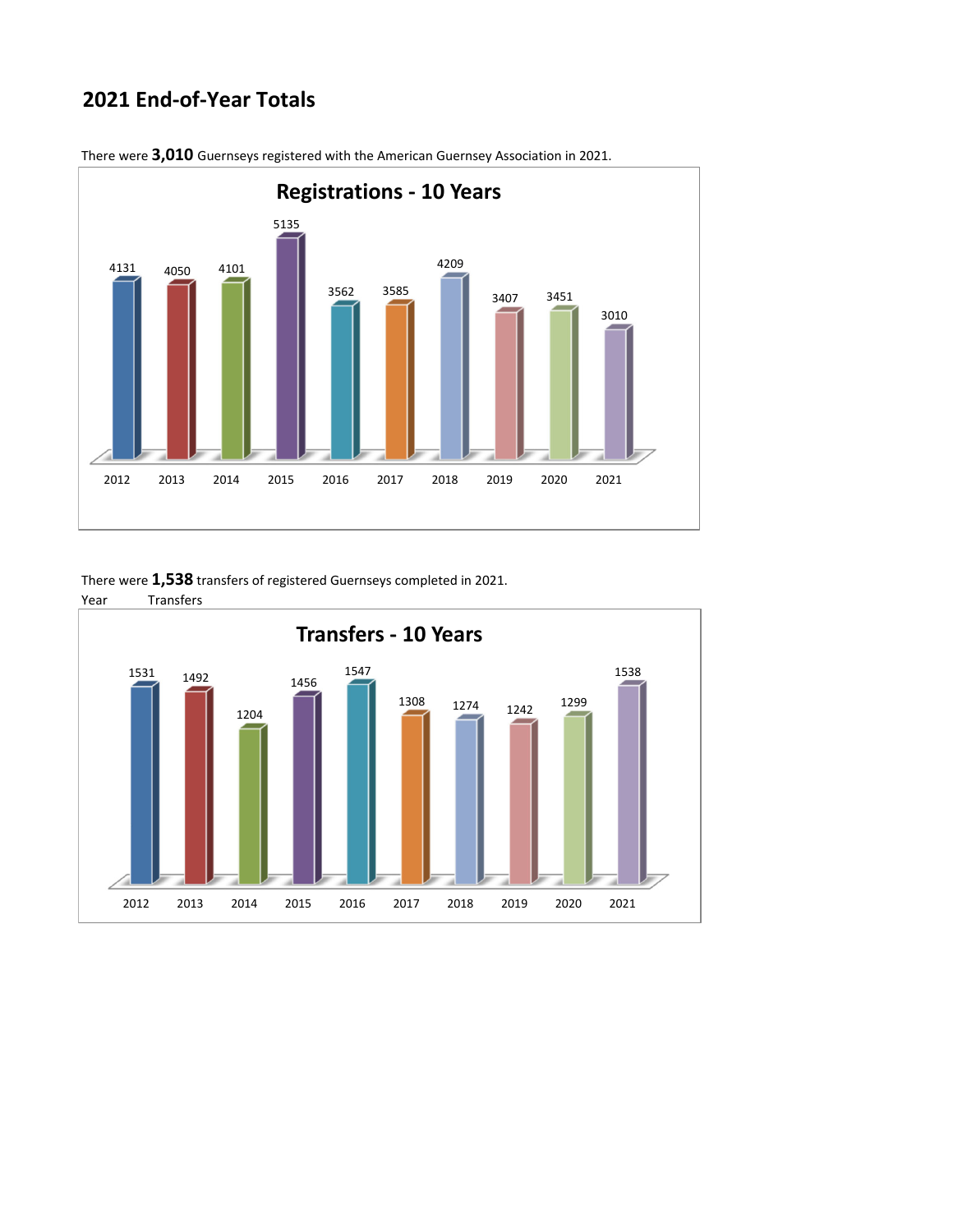## **2021 End‐of‐Year Totals**



There were **3,010** Guernseys registered with the American Guernsey Association in 2021.

There were **1,538** transfers of registered Guernseys completed in 2021.

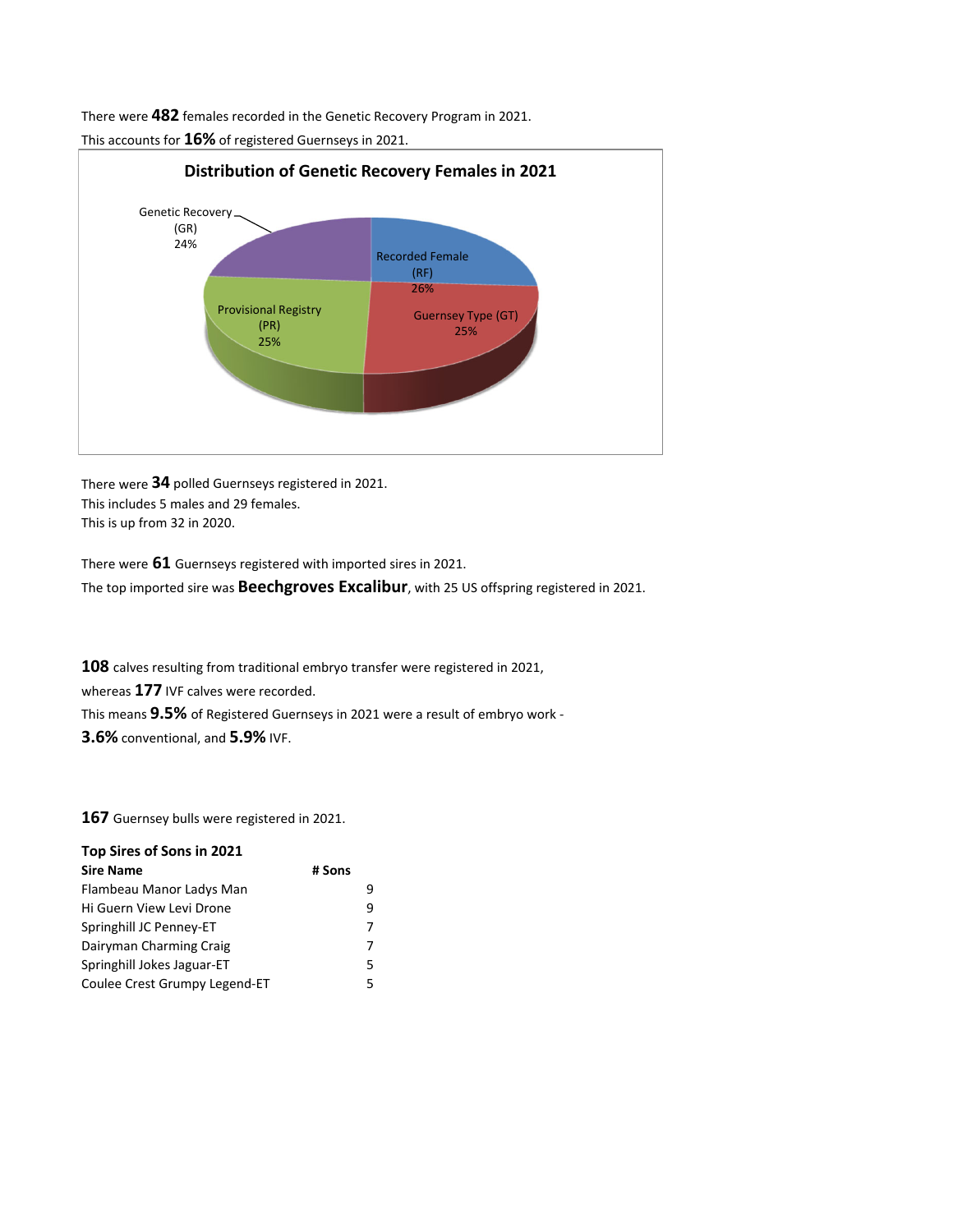There were **482** females recorded in the Genetic Recovery Program in 2021.

**Distribution of Genetic Recovery Females in 2021** Genetic Recovery  $\frac{1}{24\%}$ Recorded Female (RF) 26% (GR)

> Guernsey Type (GT) 25%

This accounts for **16%** of registered Guernseys in 2021.

Provisional Registry (PR) 25%

There were **34** polled Guernseys registered in 2021. This includes 5 males and 29 females. This is up from 32 in 2020.

There were **61** Guernseys registered with imported sires in 2021. The top imported sire was **Beechgroves Excalibur**, with 25 US offspring registered in 2021.

**108** calves resulting from traditional embryo transfer were registered in 2021, whereas **177** IVF calves were recorded. This means **9.5%** of Registered Guernseys in 2021 were a result of embryo work ‐ **3.6%** conventional, and **5.9%** IVF.

**167** Guernsey bulls were registered in 2021.

| Top Sires of Sons in 2021     |        |
|-------------------------------|--------|
| <b>Sire Name</b>              | # Sons |
| Flambeau Manor Ladys Man      |        |
| Hi Guern View Levi Drone      | q      |
| Springhill JC Penney-ET       |        |
| Dairyman Charming Craig       |        |
| Springhill Jokes Jaguar-ET    | 5      |
| Coulee Crest Grumpy Legend-ET | 5      |